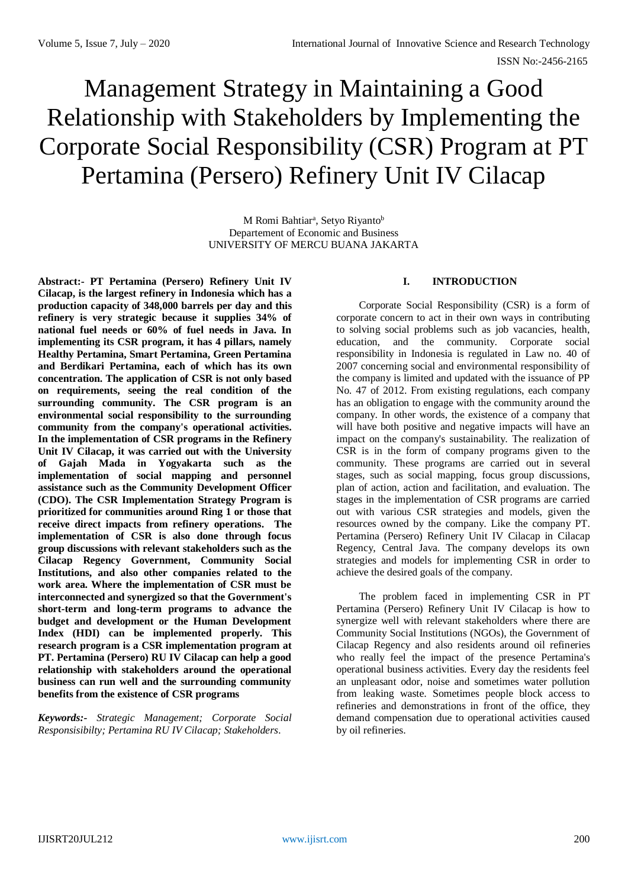# Management Strategy in Maintaining a Good Relationship with Stakeholders by Implementing the Corporate Social Responsibility (CSR) Program at PT Pertamina (Persero) Refinery Unit IV Cilacap

M Romi Bahtiar<sup>a</sup>, Setyo Riyanto<sup>b</sup> Departement of Economic and Business UNIVERSITY OF MERCU BUANA JAKARTA

**Abstract:- PT Pertamina (Persero) Refinery Unit IV Cilacap, is the largest refinery in Indonesia which has a production capacity of 348,000 barrels per day and this refinery is very strategic because it supplies 34% of national fuel needs or 60% of fuel needs in Java. In implementing its CSR program, it has 4 pillars, namely Healthy Pertamina, Smart Pertamina, Green Pertamina and Berdikari Pertamina, each of which has its own concentration. The application of CSR is not only based on requirements, seeing the real condition of the surrounding community. The CSR program is an environmental social responsibility to the surrounding community from the company's operational activities. In the implementation of CSR programs in the Refinery Unit IV Cilacap, it was carried out with the University of Gajah Mada in Yogyakarta such as the implementation of social mapping and personnel assistance such as the Community Development Officer (CDO). The CSR Implementation Strategy Program is prioritized for communities around Ring 1 or those that receive direct impacts from refinery operations. The implementation of CSR is also done through focus group discussions with relevant stakeholders such as the Cilacap Regency Government, Community Social Institutions, and also other companies related to the work area. Where the implementation of CSR must be interconnected and synergized so that the Government's short-term and long-term programs to advance the budget and development or the Human Development Index (HDI) can be implemented properly. This research program is a CSR implementation program at PT. Pertamina (Persero) RU IV Cilacap can help a good relationship with stakeholders around the operational business can run well and the surrounding community benefits from the existence of CSR programs**

*Keywords:- Strategic Management; Corporate Social Responsisibilty; Pertamina RU IV Cilacap; Stakeholders.*

### **I. INTRODUCTION**

Corporate Social Responsibility (CSR) is a form of corporate concern to act in their own ways in contributing to solving social problems such as job vacancies, health, education, and the community. Corporate social responsibility in Indonesia is regulated in Law no. 40 of 2007 concerning social and environmental responsibility of the company is limited and updated with the issuance of PP No. 47 of 2012. From existing regulations, each company has an obligation to engage with the community around the company. In other words, the existence of a company that will have both positive and negative impacts will have an impact on the company's sustainability. The realization of CSR is in the form of company programs given to the community. These programs are carried out in several stages, such as social mapping, focus group discussions, plan of action, action and facilitation, and evaluation. The stages in the implementation of CSR programs are carried out with various CSR strategies and models, given the resources owned by the company. Like the company PT. Pertamina (Persero) Refinery Unit IV Cilacap in Cilacap Regency, Central Java. The company develops its own strategies and models for implementing CSR in order to achieve the desired goals of the company.

The problem faced in implementing CSR in PT Pertamina (Persero) Refinery Unit IV Cilacap is how to synergize well with relevant stakeholders where there are Community Social Institutions (NGOs), the Government of Cilacap Regency and also residents around oil refineries who really feel the impact of the presence Pertamina's operational business activities. Every day the residents feel an unpleasant odor, noise and sometimes water pollution from leaking waste. Sometimes people block access to refineries and demonstrations in front of the office, they demand compensation due to operational activities caused by oil refineries.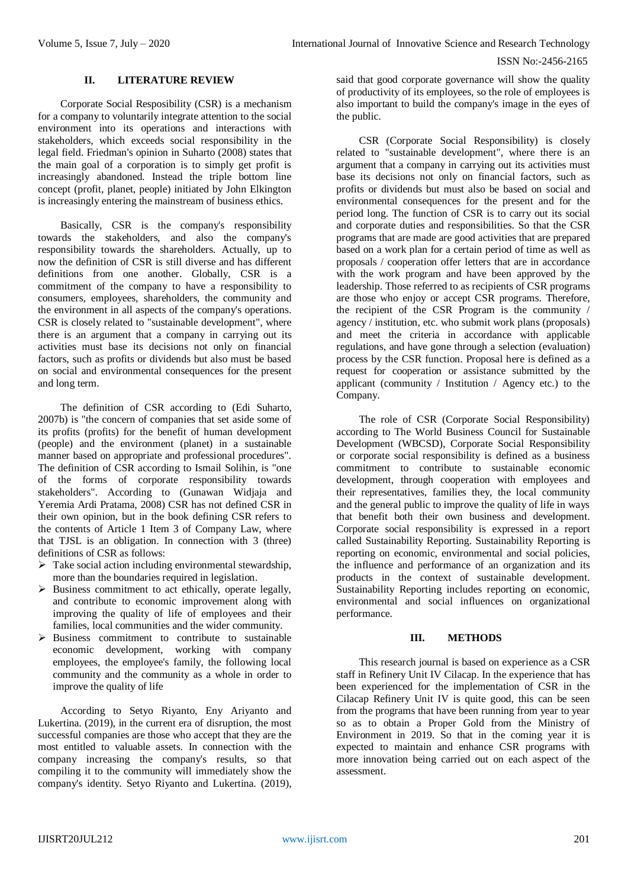## **II. LITERATURE REVIEW**

Corporate Social Resposibility (CSR) is a mechanism for a company to voluntarily integrate attention to the social environment into its operations and interactions with stakeholders, which exceeds social responsibility in the legal field. Friedman's opinion in Suharto (2008) states that the main goal of a corporation is to simply get profit is increasingly abandoned. Instead the triple bottom line concept (profit, planet, people) initiated by John Elkington is increasingly entering the mainstream of business ethics.

Basically, CSR is the company's responsibility towards the stakeholders, and also the company's responsibility towards the shareholders. Actually, up to now the definition of CSR is still diverse and has different definitions from one another. Globally, CSR is a commitment of the company to have a responsibility to consumers, employees, shareholders, the community and the environment in all aspects of the company's operations. CSR is closely related to "sustainable development", where there is an argument that a company in carrying out its activities must base its decisions not only on financial factors, such as profits or dividends but also must be based on social and environmental consequences for the present and long term.

The definition of CSR according to (Edi Suharto, 2007b) is "the concern of companies that set aside some of its profits (profits) for the benefit of human development (people) and the environment (planet) in a sustainable manner based on appropriate and professional procedures". The definition of CSR according to Ismail Solihin, is "one of the forms of corporate responsibility towards stakeholders". According to (Gunawan Widjaja and Yeremia Ardi Pratama, 2008) CSR has not defined CSR in their own opinion, but in the book defining CSR refers to the contents of Article 1 Item 3 of Company Law, where that TJSL is an obligation. In connection with 3 (three) definitions of CSR as follows:

- $\triangleright$  Take social action including environmental stewardship, more than the boundaries required in legislation.
- $\triangleright$  Business commitment to act ethically, operate legally, and contribute to economic improvement along with improving the quality of life of employees and their families, local communities and the wider community.
- $\triangleright$  Business commitment to contribute to sustainable economic development, working with company employees, the employee's family, the following local community and the community as a whole in order to improve the quality of life

According to Setyo Riyanto, Eny Ariyanto and Lukertina. (2019), in the current era of disruption, the most successful companies are those who accept that they are the most entitled to valuable assets. In connection with the company increasing the company's results, so that compiling it to the community will immediately show the company's identity. Setyo Riyanto and Lukertina. (2019),

said that good corporate governance will show the quality of productivity of its employees, so the role of employees is also important to build the company's image in the eyes of the public.

CSR (Corporate Social Responsibility) is closely related to "sustainable development", where there is an argument that a company in carrying out its activities must base its decisions not only on financial factors, such as profits or dividends but must also be based on social and environmental consequences for the present and for the period long. The function of CSR is to carry out its social and corporate duties and responsibilities. So that the CSR programs that are made are good activities that are prepared based on a work plan for a certain period of time as well as proposals / cooperation offer letters that are in accordance with the work program and have been approved by the leadership. Those referred to as recipients of CSR programs are those who enjoy or accept CSR programs. Therefore, the recipient of the CSR Program is the community / agency / institution, etc. who submit work plans (proposals) and meet the criteria in accordance with applicable regulations, and have gone through a selection (evaluation) process by the CSR function. Proposal here is defined as a request for cooperation or assistance submitted by the applicant (community / Institution / Agency etc.) to the Company.

The role of CSR (Corporate Social Responsibility) according to The World Business Council for Sustainable Development (WBCSD), Corporate Social Responsibility or corporate social responsibility is defined as a business commitment to contribute to sustainable economic development, through cooperation with employees and their representatives, families they, the local community and the general public to improve the quality of life in ways that benefit both their own business and development. Corporate social responsibility is expressed in a report called Sustainability Reporting. Sustainability Reporting is reporting on economic, environmental and social policies, the influence and performance of an organization and its products in the context of sustainable development. Sustainability Reporting includes reporting on economic, environmental and social influences on organizational performance.

#### **III. METHODS**

This research journal is based on experience as a CSR staff in Refinery Unit IV Cilacap. In the experience that has been experienced for the implementation of CSR in the Cilacap Refinery Unit IV is quite good, this can be seen from the programs that have been running from year to year so as to obtain a Proper Gold from the Ministry of Environment in 2019. So that in the coming year it is expected to maintain and enhance CSR programs with more innovation being carried out on each aspect of the assessment.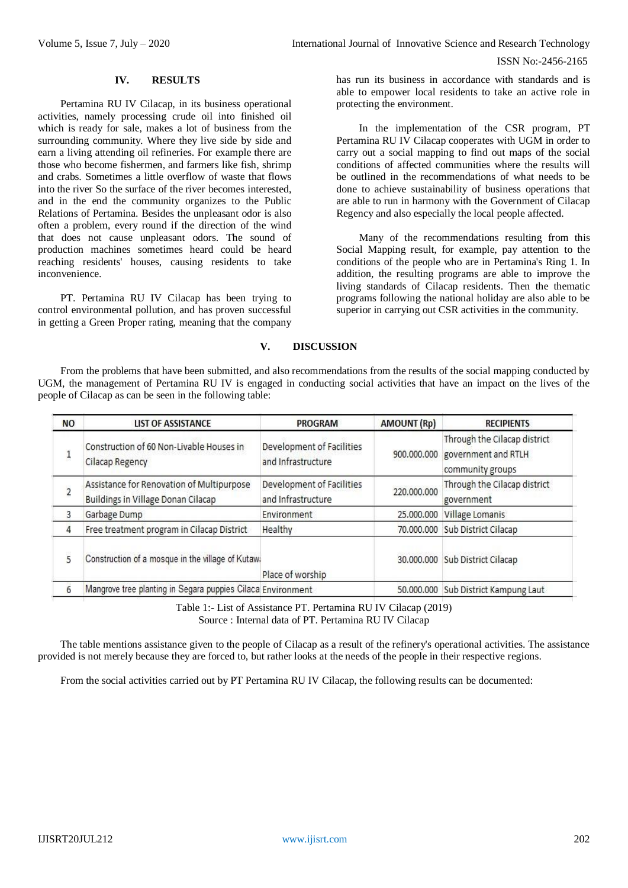ISSN No:-2456-2165

#### **IV. RESULTS**

Pertamina RU IV Cilacap, in its business operational activities, namely processing crude oil into finished oil which is ready for sale, makes a lot of business from the surrounding community. Where they live side by side and earn a living attending oil refineries. For example there are those who become fishermen, and farmers like fish, shrimp and crabs. Sometimes a little overflow of waste that flows into the river So the surface of the river becomes interested, and in the end the community organizes to the Public Relations of Pertamina. Besides the unpleasant odor is also often a problem, every round if the direction of the wind that does not cause unpleasant odors. The sound of production machines sometimes heard could be heard reaching residents' houses, causing residents to take inconvenience.

PT. Pertamina RU IV Cilacap has been trying to control environmental pollution, and has proven successful in getting a Green Proper rating, meaning that the company

has run its business in accordance with standards and is able to empower local residents to take an active role in protecting the environment.

In the implementation of the CSR program, PT Pertamina RU IV Cilacap cooperates with UGM in order to carry out a social mapping to find out maps of the social conditions of affected communities where the results will be outlined in the recommendations of what needs to be done to achieve sustainability of business operations that are able to run in harmony with the Government of Cilacap Regency and also especially the local people affected.

Many of the recommendations resulting from this Social Mapping result, for example, pay attention to the conditions of the people who are in Pertamina's Ring 1. In addition, the resulting programs are able to improve the living standards of Cilacap residents. Then the thematic programs following the national holiday are also able to be superior in carrying out CSR activities in the community.

#### **V. DISCUSSION**

From the problems that have been submitted, and also recommendations from the results of the social mapping conducted by UGM, the management of Pertamina RU IV is engaged in conducting social activities that have an impact on the lives of the people of Cilacap as can be seen in the following table:

| <b>NO</b>      | <b>LIST OF ASSISTANCE</b>                                                       | <b>PROGRAM</b>                                  | <b>AMOUNT (Rp)</b> | <b>RECIPIENTS</b>                                                                   |
|----------------|---------------------------------------------------------------------------------|-------------------------------------------------|--------------------|-------------------------------------------------------------------------------------|
| $\mathbf{1}$   | Construction of 60 Non-Livable Houses in<br>Cilacap Regency                     | Development of Facilities<br>and Infrastructure |                    | Through the Cilacap district<br>900.000.000 government and RTLH<br>community groups |
| $\overline{c}$ | Assistance for Renovation of Multipurpose<br>Buildings in Village Donan Cilacap | Development of Facilities<br>and Infrastructure | 220,000,000        | Through the Cilacap district<br>government                                          |
| 3              | Garbage Dump                                                                    | Environment                                     | 25,000,000         | Village Lomanis                                                                     |
| 4              | Free treatment program in Cilacap District                                      | Healthy                                         |                    | 70.000.000 Sub District Cilacap                                                     |
| 5              | Construction of a mosque in the village of Kutawa                               | Place of worship                                |                    | 30.000.000 Sub District Cilacap                                                     |
| 6              | Mangrove tree planting in Segara puppies Cilaca Environment                     |                                                 |                    | 50.000.000 Sub District Kampung Laut                                                |
|                |                                                                                 |                                                 |                    |                                                                                     |

Table 1:- List of Assistance PT. Pertamina RU IV Cilacap (2019) Source : Internal data of PT. Pertamina RU IV Cilacap

The table mentions assistance given to the people of Cilacap as a result of the refinery's operational activities. The assistance provided is not merely because they are forced to, but rather looks at the needs of the people in their respective regions.

From the social activities carried out by PT Pertamina RU IV Cilacap, the following results can be documented: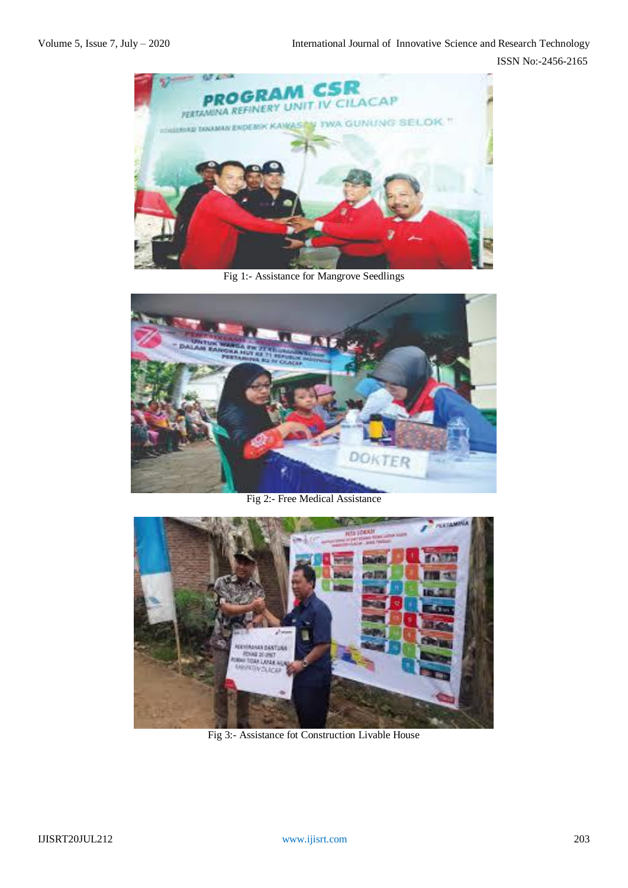ISSN No:-2456-2165



Fig 1:- Assistance for Mangrove Seedlings



Fig 2:- Free Medical Assistance



Fig 3:- Assistance fot Construction Livable House